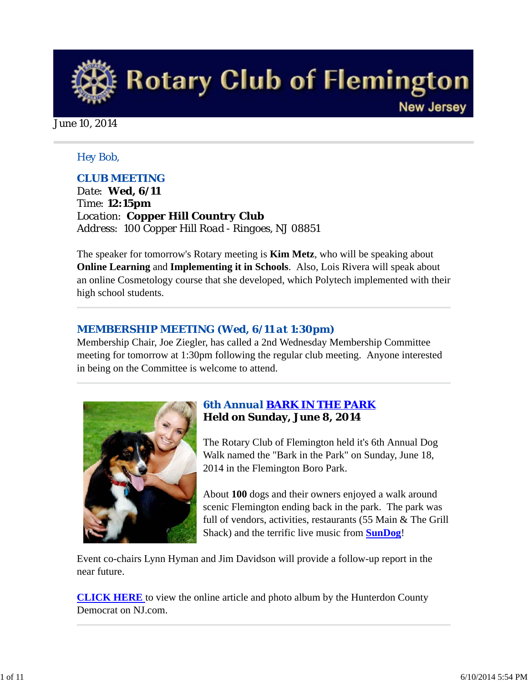

June 10, 2014

### *Hey Bob,*

### *CLUB MEETING*

*Date: Wed, 6/11 Time: 12:15pm Location: Copper Hill Country Club Address: 100 Copper Hill Road - Ringoes, NJ 08851* 

The speaker for tomorrow's Rotary meeting is **Kim Metz**, who will be speaking about **Online Learning** and **Implementing it in Schools**. Also, Lois Rivera will speak about an online Cosmetology course that she developed, which Polytech implemented with their high school students.

### *MEMBERSHIP MEETING (Wed, 6/11 at 1:30pm)*

Membership Chair, Joe Ziegler, has called a 2nd Wednesday Membership Committee meeting for tomorrow at 1:30pm following the regular club meeting. Anyone interested in being on the Committee is welcome to attend.



## *6th Annual BARK IN THE PARK* **Held on Sunday, June 8, 2014**

The Rotary Club of Flemington held it's 6th Annual Dog Walk named the "Bark in the Park" on Sunday, June 18, 2014 in the Flemington Boro Park.

About **100** dogs and their owners enjoyed a walk around scenic Flemington ending back in the park. The park was full of vendors, activities, restaurants (55 Main & The Grill Shack) and the terrific live music from **SunDog**!

Event co-chairs Lynn Hyman and Jim Davidson will provide a follow-up report in the near future.

**CLICK HERE** to view the online article and photo album by the Hunterdon County Democrat on NJ.com.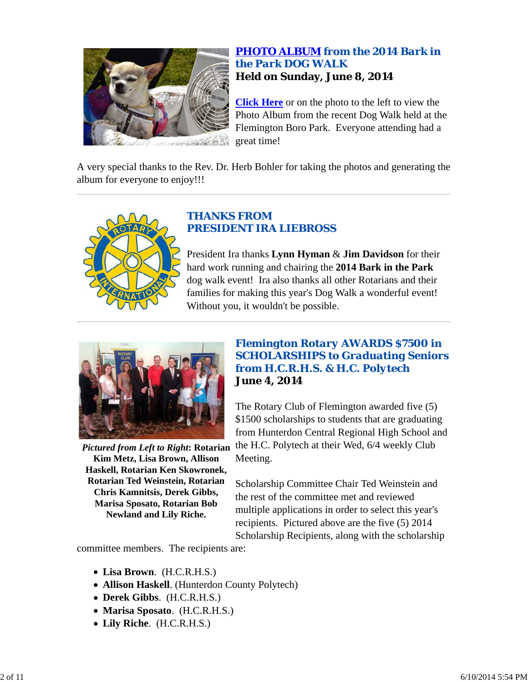

## *PHOTO ALBUM from the 2014 Bark in the Park DOG WALK* **Held on Sunday, June 8, 2014**

**Click Here** or on the photo to the left to view the Photo Album from the recent Dog Walk held at the Flemington Boro Park. Everyone attending had a great time!

A very special thanks to the Rev. Dr. Herb Bohler for taking the photos and generating the album for everyone to enjoy!!!



## *THANKS FROM PRESIDENT IRA LIEBROSS*

President Ira thanks **Lynn Hyman** & **Jim Davidson** for their hard work running and chairing the **2014 Bark in the Park** dog walk event! Ira also thanks all other Rotarians and their families for making this year's Dog Walk a wonderful event! Without you, it wouldn't be possible.



**Kim Metz, Lisa Brown, Allison Haskell, Rotarian Ken Skowronek, Rotarian Ted Weinstein, Rotarian Chris Kamnitsis, Derek Gibbs, Marisa Sposato, Rotarian Bob Newland and Lily Riche.**

### *Flemington Rotary AWARDS \$7500 in SCHOLARSHIPS to Graduating Seniors from H.C.R.H.S. & H.C. Polytech* **June 4, 2014**

Pictured from Left to Right: Rotarian the H.C. Polytech at their Wed, 6/4 weekly Club The Rotary Club of Flemington awarded five (5) \$1500 scholarships to students that are graduating from Hunterdon Central Regional High School and Meeting.

> Scholarship Committee Chair Ted Weinstein and the rest of the committee met and reviewed multiple applications in order to select this year's recipients. Pictured above are the five (5) 2014 Scholarship Recipients, along with the scholarship

committee members. The recipients are:

- **Lisa Brown**. (H.C.R.H.S.)
- **Allison Haskell**. (Hunterdon County Polytech)
- **Derek Gibbs**. (H.C.R.H.S.)
- **Marisa Sposato**. (H.C.R.H.S.)
- **Lily Riche**. (H.C.R.H.S.)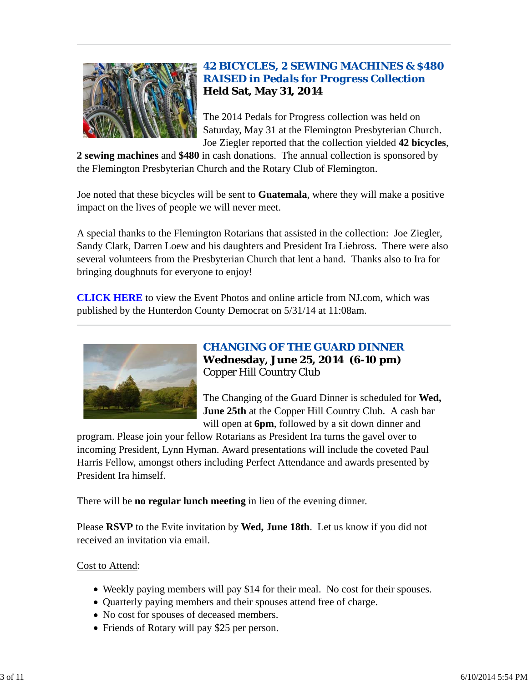

## *42 BICYCLES, 2 SEWING MACHINES & \$480 RAISED in Pedals for Progress Collection* **Held Sat, May 31, 2014**

The 2014 Pedals for Progress collection was held on Saturday, May 31 at the Flemington Presbyterian Church. Joe Ziegler reported that the collection yielded **42 bicycles**,

**2 sewing machines** and **\$480** in cash donations. The annual collection is sponsored by the Flemington Presbyterian Church and the Rotary Club of Flemington.

Joe noted that these bicycles will be sent to **Guatemala**, where they will make a positive impact on the lives of people we will never meet.

A special thanks to the Flemington Rotarians that assisted in the collection: Joe Ziegler, Sandy Clark, Darren Loew and his daughters and President Ira Liebross. There were also several volunteers from the Presbyterian Church that lent a hand. Thanks also to Ira for bringing doughnuts for everyone to enjoy!

**CLICK HERE** to view the Event Photos and online article from NJ.com, which was published by the Hunterdon County Democrat on 5/31/14 at 11:08am.



## *CHANGING OF THE GUARD DINNER* **Wednesday, June 25, 2014 (6-10 pm)** Copper Hill Country Club

The Changing of the Guard Dinner is scheduled for **Wed, June 25th** at the Copper Hill Country Club. A cash bar will open at **6pm**, followed by a sit down dinner and

program. Please join your fellow Rotarians as President Ira turns the gavel over to incoming President, Lynn Hyman. Award presentations will include the coveted Paul Harris Fellow, amongst others including Perfect Attendance and awards presented by President Ira himself.

There will be **no regular lunch meeting** in lieu of the evening dinner.

Please **RSVP** to the Evite invitation by **Wed, June 18th**. Let us know if you did not received an invitation via email.

## Cost to Attend:

- Weekly paying members will pay \$14 for their meal. No cost for their spouses.
- Quarterly paying members and their spouses attend free of charge.
- No cost for spouses of deceased members.
- Friends of Rotary will pay \$25 per person.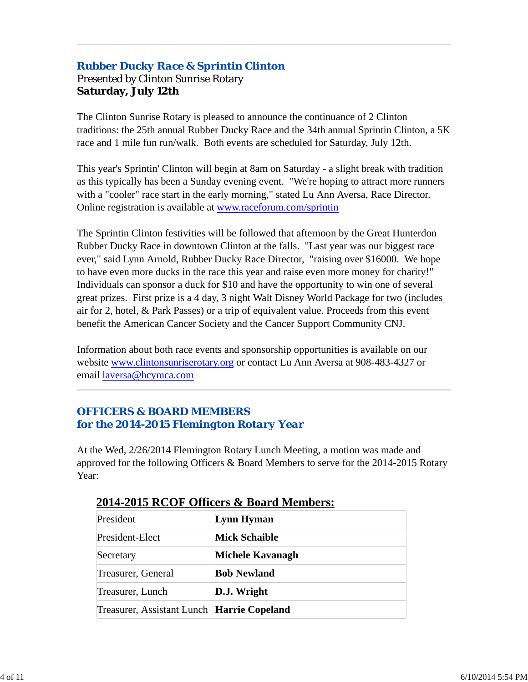## *Rubber Ducky Race & Sprintin Clinton* Presented by Clinton Sunrise Rotary **Saturday, July 12th**

The Clinton Sunrise Rotary is pleased to announce the continuance of 2 Clinton traditions: the 25th annual Rubber Ducky Race and the 34th annual Sprintin Clinton, a 5K race and 1 mile fun run/walk. Both events are scheduled for Saturday, July 12th.

This year's Sprintin' Clinton will begin at 8am on Saturday - a slight break with tradition as this typically has been a Sunday evening event. "We're hoping to attract more runners with a "cooler" race start in the early morning," stated Lu Ann Aversa, Race Director. Online registration is available at www.raceforum.com/sprintin

The Sprintin Clinton festivities will be followed that afternoon by the Great Hunterdon Rubber Ducky Race in downtown Clinton at the falls. "Last year was our biggest race ever," said Lynn Arnold, Rubber Ducky Race Director, "raising over \$16000. We hope to have even more ducks in the race this year and raise even more money for charity!" Individuals can sponsor a duck for \$10 and have the opportunity to win one of several great prizes. First prize is a 4 day, 3 night Walt Disney World Package for two (includes air for 2, hotel, & Park Passes) or a trip of equivalent value. Proceeds from this event benefit the American Cancer Society and the Cancer Support Community CNJ.

Information about both race events and sponsorship opportunities is available on our website www.clintonsunriserotary.org or contact Lu Ann Aversa at 908-483-4327 or email laversa@hcymca.com

## *OFFICERS & BOARD MEMBERS for the 2014-2015 Flemington Rotary Year*

At the Wed, 2/26/2014 Flemington Rotary Lunch Meeting, a motion was made and approved for the following Officers & Board Members to serve for the 2014-2015 Rotary Year:

| 2014-2019 RCOI "OMREIS & DOUI'U MEMBELS.   |  |  |  |  |
|--------------------------------------------|--|--|--|--|
| Lynn Hyman                                 |  |  |  |  |
| <b>Mick Schaible</b>                       |  |  |  |  |
| Michele Kavanagh                           |  |  |  |  |
| <b>Bob Newland</b>                         |  |  |  |  |
| D.J. Wright                                |  |  |  |  |
| Treasurer, Assistant Lunch Harrie Copeland |  |  |  |  |
|                                            |  |  |  |  |

## **2014-2015 RCOF Officers & Board Members:**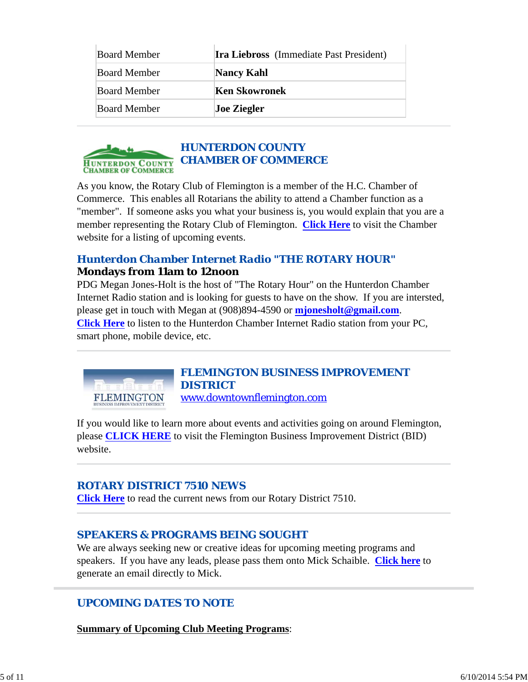| <b>Board Member</b> | <b>Ira Liebross</b> (Immediate Past President) |  |
|---------------------|------------------------------------------------|--|
| <b>Board Member</b> | <b>Nancy Kahl</b>                              |  |
| <b>Board Member</b> | Ken Skowronek                                  |  |
| <b>Board Member</b> | <b>Joe Ziegler</b>                             |  |



As you know, the Rotary Club of Flemington is a member of the H.C. Chamber of Commerce. This enables all Rotarians the ability to attend a Chamber function as a "member". If someone asks you what your business is, you would explain that you are a member representing the Rotary Club of Flemington. **Click Here** to visit the Chamber website for a listing of upcoming events.

## *Hunterdon Chamber Internet Radio "THE ROTARY HOUR"* **Mondays from 11am to 12noon**

PDG Megan Jones-Holt is the host of "The Rotary Hour" on the Hunterdon Chamber Internet Radio station and is looking for guests to have on the show. If you are intersted, please get in touch with Megan at (908)894-4590 or **mjonesholt@gmail.com**. **Click Here** to listen to the Hunterdon Chamber Internet Radio station from your PC, smart phone, mobile device, etc.



### *FLEMINGTON BUSINESS IMPROVEMENT DISTRICT* www.downtownflemington.com

If you would like to learn more about events and activities going on around Flemington, please **CLICK HERE** to visit the Flemington Business Improvement District (BID) website.

## *ROTARY DISTRICT 7510 NEWS*

**Click Here** to read the current news from our Rotary District 7510.

## *SPEAKERS & PROGRAMS BEING SOUGHT*

We are always seeking new or creative ideas for upcoming meeting programs and speakers. If you have any leads, please pass them onto Mick Schaible. **Click here** to generate an email directly to Mick.

## *UPCOMING DATES TO NOTE*

**Summary of Upcoming Club Meeting Programs**: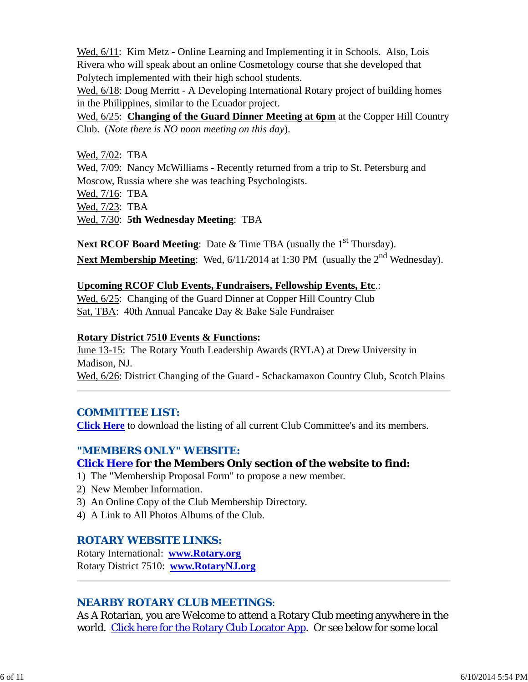Wed, 6/11: Kim Metz - Online Learning and Implementing it in Schools. Also, Lois Rivera who will speak about an online Cosmetology course that she developed that Polytech implemented with their high school students.

Wed,  $6/18$ : Doug Merritt - A Developing International Rotary project of building homes in the Philippines, similar to the Ecuador project.

Wed, 6/25: **Changing of the Guard Dinner Meeting at 6pm** at the Copper Hill Country Club. (*Note there is NO noon meeting on this day*).

Wed, 7/02: TBA

Wed,  $7/09$ : Nancy McWilliams - Recently returned from a trip to St. Petersburg and Moscow, Russia where she was teaching Psychologists. Wed, 7/16: TBA

Wed, 7/23: TBA

Wed, 7/30: **5th Wednesday Meeting**: TBA

Next RCOF Board Meeting: Date & Time TBA (usually the 1<sup>st</sup> Thursday). **Next Membership Meeting**: Wed,  $6/11/2014$  at 1:30 PM (usually the 2<sup>nd</sup> Wednesday).

### **Upcoming RCOF Club Events, Fundraisers, Fellowship Events, Etc**.:

Wed, 6/25: Changing of the Guard Dinner at Copper Hill Country Club Sat, TBA: 40th Annual Pancake Day & Bake Sale Fundraiser

### **Rotary District 7510 Events & Functions:**

June 13-15: The Rotary Youth Leadership Awards (RYLA) at Drew University in Madison, NJ. Wed, 6/26: District Changing of the Guard - Schackamaxon Country Club, Scotch Plains

## *COMMITTEE LIST:*

**Click Here** to download the listing of all current Club Committee's and its members.

## *"MEMBERS ONLY" WEBSITE:*

## **Click Here for the Members Only section of the website to find:**

- 1) The "Membership Proposal Form" to propose a new member.
- 2) New Member Information.
- 3) An Online Copy of the Club Membership Directory.
- 4) A Link to All Photos Albums of the Club.

### *ROTARY WEBSITE LINKS:*

Rotary International: **www.Rotary.org** Rotary District 7510: **www.RotaryNJ.org**

## *NEARBY ROTARY CLUB MEETINGS:*

As A Rotarian, you are Welcome to attend a Rotary Club meeting anywhere in the world. Click here for the Rotary Club Locator App. Or see below for some local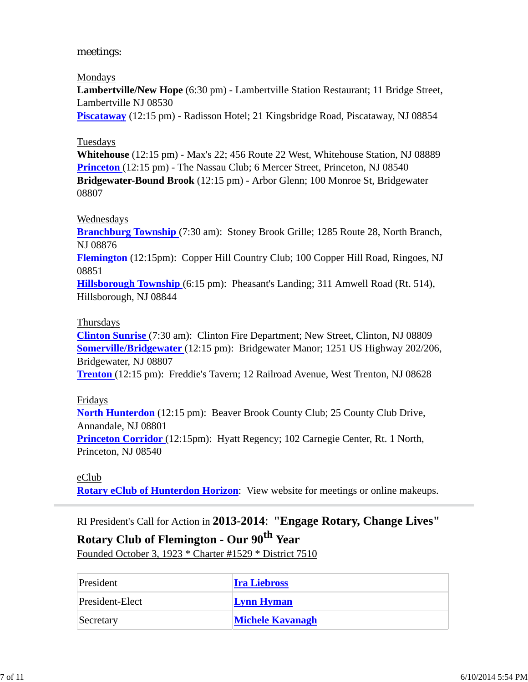### meetings:

#### Mondays

**Lambertville/New Hope** (6:30 pm) - Lambertville Station Restaurant; 11 Bridge Street, Lambertville NJ 08530

**Piscataway** (12:15 pm) - Radisson Hotel; 21 Kingsbridge Road, Piscataway, NJ 08854

### Tuesdays

**Whitehouse** (12:15 pm) - Max's 22; 456 Route 22 West, Whitehouse Station, NJ 08889 **Princeton** (12:15 pm) - The Nassau Club; 6 Mercer Street, Princeton, NJ 08540 **Bridgewater-Bound Brook** (12:15 pm) - Arbor Glenn; 100 Monroe St, Bridgewater 08807

### Wednesdays

**Branchburg Township** (7:30 am): Stoney Brook Grille; 1285 Route 28, North Branch, NJ 08876 **Flemington** (12:15pm): Copper Hill Country Club; 100 Copper Hill Road, Ringoes, NJ 08851

**Hillsborough Township** (6:15 pm): Pheasant's Landing; 311 Amwell Road (Rt. 514), Hillsborough, NJ 08844

### Thursdays

**Clinton Sunrise** (7:30 am): Clinton Fire Department; New Street, Clinton, NJ 08809 **Somerville/Bridgewater** (12:15 pm): Bridgewater Manor; 1251 US Highway 202/206, Bridgewater, NJ 08807

**Trenton** (12:15 pm): Freddie's Tavern; 12 Railroad Avenue, West Trenton, NJ 08628

#### Fridays

**North Hunterdon** (12:15 pm): Beaver Brook County Club; 25 County Club Drive, Annandale, NJ 08801

**Princeton Corridor** (12:15pm): Hyatt Regency; 102 Carnegie Center, Rt. 1 North, Princeton, NJ 08540

## eClub

**Rotary eClub of Hunterdon Horizon**: View website for meetings or online makeups.

## RI President's Call for Action in **2013-2014**: **"Engage Rotary, Change Lives"**

# **Rotary Club of Flemington - Our 90th Year**

Founded October 3, 1923 \* Charter #1529 \* District 7510

| President       | <b>Ira Liebross</b>     |
|-----------------|-------------------------|
| President-Elect | <b>Lynn Hyman</b>       |
| Secretary       | <b>Michele Kavanagh</b> |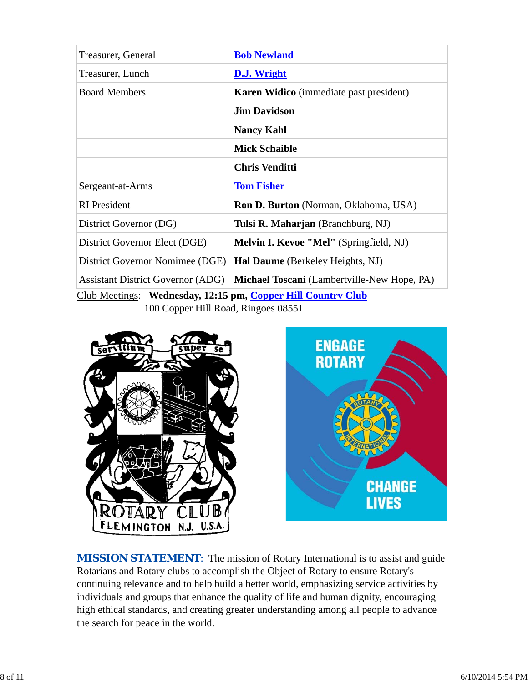| Treasurer, General                                           | <b>Bob Newland</b>                             |  |  |  |
|--------------------------------------------------------------|------------------------------------------------|--|--|--|
| Treasurer, Lunch                                             | D.J. Wright                                    |  |  |  |
| <b>Board Members</b>                                         | <b>Karen Widico</b> (immediate past president) |  |  |  |
|                                                              | <b>Jim Davidson</b>                            |  |  |  |
|                                                              | <b>Nancy Kahl</b>                              |  |  |  |
|                                                              | <b>Mick Schaible</b>                           |  |  |  |
|                                                              | <b>Chris Venditti</b>                          |  |  |  |
| Sergeant-at-Arms                                             | <b>Tom Fisher</b>                              |  |  |  |
| <b>RI</b> President                                          | <b>Ron D. Burton</b> (Norman, Oklahoma, USA)   |  |  |  |
| District Governor (DG)                                       | Tulsi R. Maharjan (Branchburg, NJ)             |  |  |  |
| District Governor Elect (DGE)                                | <b>Melvin I. Kevoe "Mel"</b> (Springfield, NJ) |  |  |  |
| District Governor Nomimee (DGE)                              | Hal Daume (Berkeley Heights, NJ)               |  |  |  |
| <b>Assistant District Governor (ADG)</b>                     | Michael Toscani (Lambertville-New Hope, PA)    |  |  |  |
| Club Meetings: Wednesday, 12:15 pm, Copper Hill Country Club |                                                |  |  |  |
| 100 Copper Hill Road, Ringoes 08551                          |                                                |  |  |  |





**MISSION STATEMENT:** The mission of Rotary International is to assist and guide Rotarians and Rotary clubs to accomplish the Object of Rotary to ensure Rotary's continuing relevance and to help build a better world, emphasizing service activities by individuals and groups that enhance the quality of life and human dignity, encouraging high ethical standards, and creating greater understanding among all people to advance the search for peace in the world.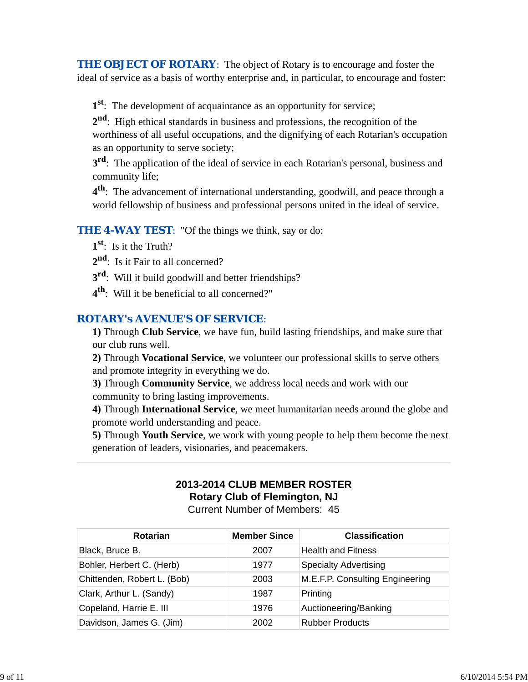**THE OBJECT OF ROTARY:** The object of Rotary is to encourage and foster the ideal of service as a basis of worthy enterprise and, in particular, to encourage and foster:

**1st**: The development of acquaintance as an opportunity for service;

**2nd**: High ethical standards in business and professions, the recognition of the worthiness of all useful occupations, and the dignifying of each Rotarian's occupation as an opportunity to serve society;

**3rd**: The application of the ideal of service in each Rotarian's personal, business and community life;

**4th**: The advancement of international understanding, goodwill, and peace through a world fellowship of business and professional persons united in the ideal of service.

### **THE 4-WAY TEST:** "Of the things we think, say or do:

**1st**: Is it the Truth?

2<sup>nd</sup>: Is it Fair to all concerned?

**3rd**: Will it build goodwill and better friendships?

**4th**: Will it be beneficial to all concerned?"

## *ROTARY's AVENUE'S OF SERVICE*:

**1)** Through **Club Service**, we have fun, build lasting friendships, and make sure that our club runs well.

**2)** Through **Vocational Service**, we volunteer our professional skills to serve others and promote integrity in everything we do.

**3)** Through **Community Service**, we address local needs and work with our community to bring lasting improvements.

**4)** Through **International Service**, we meet humanitarian needs around the globe and promote world understanding and peace.

**5)** Through **Youth Service**, we work with young people to help them become the next generation of leaders, visionaries, and peacemakers.

# **2013-2014 CLUB MEMBER ROSTER Rotary Club of Flemington, NJ**

Current Number of Members: 45

| <b>Rotarian</b>             | <b>Member Since</b> | <b>Classification</b>           |
|-----------------------------|---------------------|---------------------------------|
| Black, Bruce B.             | 2007                | <b>Health and Fitness</b>       |
| Bohler, Herbert C. (Herb)   | 1977                | <b>Specialty Advertising</b>    |
| Chittenden, Robert L. (Bob) | 2003                | M.E.F.P. Consulting Engineering |
| Clark, Arthur L. (Sandy)    | 1987                | Printing                        |
| Copeland, Harrie E. III     | 1976                | Auctioneering/Banking           |
| Davidson, James G. (Jim)    | 2002                | <b>Rubber Products</b>          |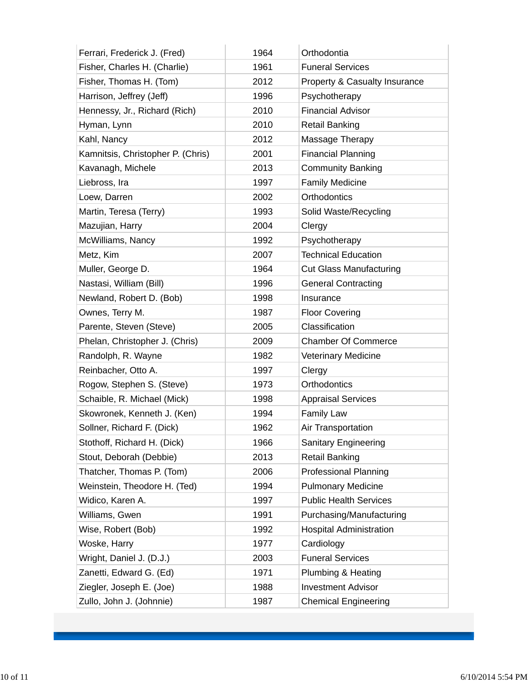| Ferrari, Frederick J. (Fred)      | 1964 | Orthodontia                    |
|-----------------------------------|------|--------------------------------|
| Fisher, Charles H. (Charlie)      | 1961 | <b>Funeral Services</b>        |
| Fisher, Thomas H. (Tom)           | 2012 | Property & Casualty Insurance  |
| Harrison, Jeffrey (Jeff)          | 1996 | Psychotherapy                  |
| Hennessy, Jr., Richard (Rich)     | 2010 | <b>Financial Advisor</b>       |
| Hyman, Lynn                       | 2010 | <b>Retail Banking</b>          |
| Kahl, Nancy                       | 2012 | Massage Therapy                |
| Kamnitsis, Christopher P. (Chris) | 2001 | <b>Financial Planning</b>      |
| Kavanagh, Michele                 | 2013 | <b>Community Banking</b>       |
| Liebross, Ira                     | 1997 | <b>Family Medicine</b>         |
| Loew, Darren                      | 2002 | Orthodontics                   |
| Martin, Teresa (Terry)            | 1993 | Solid Waste/Recycling          |
| Mazujian, Harry                   | 2004 | Clergy                         |
| McWilliams, Nancy                 | 1992 | Psychotherapy                  |
| Metz, Kim                         | 2007 | <b>Technical Education</b>     |
| Muller, George D.                 | 1964 | <b>Cut Glass Manufacturing</b> |
| Nastasi, William (Bill)           | 1996 | <b>General Contracting</b>     |
| Newland, Robert D. (Bob)          | 1998 | Insurance                      |
| Ownes, Terry M.                   | 1987 | <b>Floor Covering</b>          |
| Parente, Steven (Steve)           | 2005 | Classification                 |
| Phelan, Christopher J. (Chris)    | 2009 | <b>Chamber Of Commerce</b>     |
| Randolph, R. Wayne                | 1982 | <b>Veterinary Medicine</b>     |
| Reinbacher, Otto A.               | 1997 | Clergy                         |
| Rogow, Stephen S. (Steve)         | 1973 | Orthodontics                   |
| Schaible, R. Michael (Mick)       | 1998 | <b>Appraisal Services</b>      |
| Skowronek, Kenneth J. (Ken)       | 1994 | <b>Family Law</b>              |
| Sollner, Richard F. (Dick)        | 1962 | <b>Air Transportation</b>      |
| Stothoff, Richard H. (Dick)       | 1966 | <b>Sanitary Engineering</b>    |
| Stout, Deborah (Debbie)           | 2013 | <b>Retail Banking</b>          |
| Thatcher, Thomas P. (Tom)         | 2006 | <b>Professional Planning</b>   |
| Weinstein, Theodore H. (Ted)      | 1994 | <b>Pulmonary Medicine</b>      |
| Widico, Karen A.                  | 1997 | <b>Public Health Services</b>  |
| Williams, Gwen                    | 1991 | Purchasing/Manufacturing       |
| Wise, Robert (Bob)                | 1992 | <b>Hospital Administration</b> |
| Woske, Harry                      | 1977 | Cardiology                     |
| Wright, Daniel J. (D.J.)          | 2003 | <b>Funeral Services</b>        |
| Zanetti, Edward G. (Ed)           | 1971 | Plumbing & Heating             |
| Ziegler, Joseph E. (Joe)          | 1988 | <b>Investment Advisor</b>      |
| Zullo, John J. (Johnnie)          | 1987 | <b>Chemical Engineering</b>    |